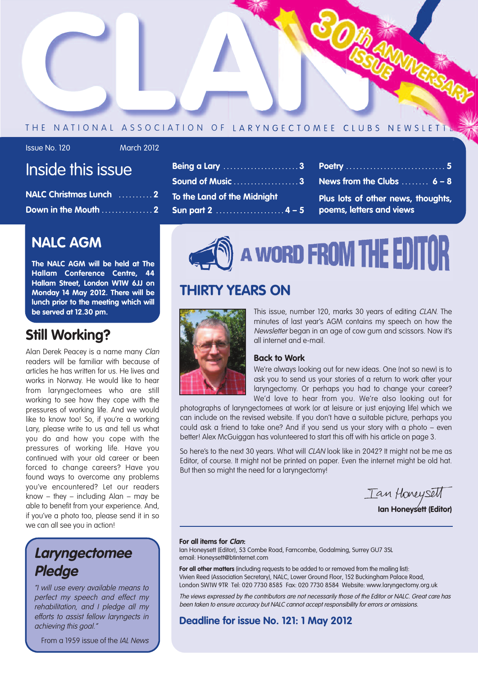

#### THE NATIONAL ASSOCIATION OF LARYNGECTOMEE CLUBS NEWSLETT

#### Issue No. 120 March 2012

# Inside this issue

| NALC Christmas Lunch 2 |  |
|------------------------|--|
| Down in the Mouth 2    |  |

## **NALC AGM**

**The NALC AGM will be held at The Hallam Conference Centre, 44 Hallam Street, London W1W 6JJ on Monday 14 May 2012. There will be lunch prior to the meeting which will be served at 12.30 pm.**

### **Still Working?**

Alan Derek Peacey is a name many Clan readers will be familiar with because of articles he has written for us. He lives and works in Norway. He would like to hear from laryngectomees who are still working to see how they cope with the pressures of working life. And we would like to know too! So, if you're a working Lary, please write to us and tell us what you do and how you cope with the pressures of working life. Have you continued with your old career or been forced to change careers? Have you found ways to overcome any problems you've encountered? Let our readers know – they – including  $Alan - may be$ able to benefit from your experience. And, if you've a photo too, please send it in so we can all see you in action!

# **Laryngectomee Pledge**

"I will use every available means to perfect my speech and effect my rehabilitation, and I pledge all my efforts to assist fellow laryngects in achieving this goal."

From a 1959 issue of the IAL News

| <b>Being a Lary 3</b>       |  |
|-----------------------------|--|
| Sound of Music 3            |  |
| To the Land of the Midnight |  |
| <b>Sun part 2</b> 4 - 5     |  |

**Poetry . . . . . . . . . . . . . . . . . . . . . . . . . . . . . 5 News from the Clubs . . . . . . . . 6 – 8**

**Plus lots of other news, thoughts, poems, letters and views**

# A WORD FROM THE EDITOR

# **THIRTY YEARS ON**



This issue, number 120, marks 30 years of editing CLAN. The minutes of last year's AGM contains my speech on how the Newsletter began in an age of cow gum and scissors. Now it's all internet and e-mail.

#### **Back to Work**

We're always looking out for new ideas. One (not so new) is to ask you to send us your stories of a return to work after your laryngectomy. Or perhaps you had to change your career? We'd love to hear from you. We're also looking out for

photographs of laryngectomees at work (or at leisure or just enjoying life) which we can include on the revised website. If you don't have a suitable picture, perhaps you could ask a friend to take one? And if you send us your story with a photo – even better! Alex McGuiggan has volunteered to start this off with his article on page 3.

So here's to the next 30 years. What will CLAN look like in 2042? It might not be me as Editor, of course. It might not be printed on paper. Even the internet might be old hat. But then so might the need for a laryngectomy!

Tan Honeysett

**Ian Honeysett (Editor)**

#### **For all items for Clan:**

Ian Honeysett (Editor), 53 Combe Road, Farncombe, Godalming, Surrey GU7 3SL email: Honeysett@btinternet.com

**For all other matters** (including requests to be added to or removed from the mailing list): Vivien Reed (Association Secretary), NALC, Lower Ground Floor, 152 Buckingham Palace Road, London SW1W 9TR Tel: 020 7730 8585 Fax: 020 7730 8584 Website: www.laryngectomy.org.uk

The views expressed by the contributors are not necessarily those of the Editor or NALC. Great care has been taken to ensure accuracy but NALC cannot accept responsibility for errors or omissions.

**Deadline for issue No. 121: 1 May 2012**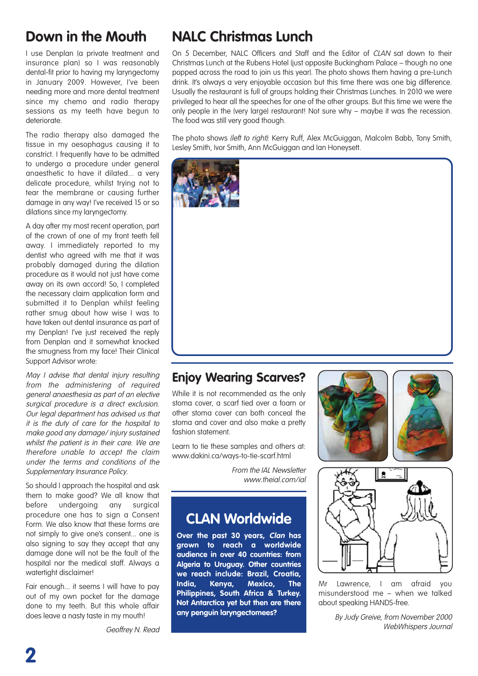# **Down in the Mouth**

I use Denplan (a private treatment and insurance plan) so I was reasonably dental-fit prior to having my laryngectomy in January 2009. However, I've been needing more and more dental treatment since my chemo and radio therapy sessions as my teeth have begun to deteriorate.

The radio therapy also damaged the tissue in my oesophagus causing it to constrict. I frequently have to be admitted to undergo a procedure under general anaesthetic to have it dilated... a very delicate procedure, whilst trying not to tear the membrane or causing further damage in any way! I've received 15 or so dilations since my laryngectomy.

A day after my most recent operation, part of the crown of one of my front teeth fell away. I immediately reported to my dentist who agreed with me that it was probably damaged during the dilation procedure as it would not just have come away on its own accord! So, I completed the necessary claim application form and submitted it to Denplan whilst feeling rather smug about how wise I was to have taken out dental insurance as part of my Denplan! I've just received the reply from Denplan and it somewhat knocked the smugness from my face! Their Clinical Support Advisor wrote:

May I advise that dental injury resulting from the administering of required general anaesthesia as part of an elective surgical procedure is a direct exclusion. Our legal department has advised us that it is the duty of care for the hospital to make good any damage/ injury sustained whilst the patient is in their care. We are therefore unable to accept the claim under the terms and conditions of the Supplementary Insurance Policy.

So should I approach the hospital and ask them to make good? We all know that before undergoing any surgical procedure one has to sign a Consent Form. We also know that these forms are not simply to give one's consent... one is also signing to say they accept that any damage done will not be the fault of the hospital nor the medical staff. Always a watertight disclaimer!

Fair enough... it seems I will have to pay out of my own pocket for the damage done to my teeth. But this whole affair does leave a nasty taste in my mouth!

# **NALC Christmas Lunch**

On 5 December, NALC Officers and Staff and the Editor of CLAN sat down to their Christmas Lunch at the Rubens Hotel (just opposite Buckingham Palace – though no one popped across the road to join us this year). The photo shows them having a pre-Lunch drink. It's always a very enjoyable occasion but this time there was one big difference. Usually the restaurant is full of groups holding their Christmas Lunches. In 2010 we were privileged to hear all the speeches for one of the other groups. But this time we were the only people in the (very large) restaurant! Not sure why – maybe it was the recession. The food was still very good though.

The photo shows (left to right): Kerry Ruff, Alex McGuiggan, Malcolm Babb, Tony Smith, Lesley Smith, Ivor Smith, Ann McGuiggan and Ian Honeysett.



### **Enjoy Wearing Scarves?**

While it is not recommended as the only stoma cover, a scarf tied over a foam or other stoma cover can both conceal the stoma and cover and also make a pretty fashion statement.

Learn to tie these samples and others at: www.dakini.ca/ways-to-tie-scarf.html

> From the IAL Newsletter www.theial.com/ial

## **CLAN Worldwide**

**Over the past 30 years, Clan has grown to reach a worldwide audience in over 40 countries: from Algeria to Uruguay. Other countries we reach include: Brazil, Croatia, India, Kenya, Mexico, The Philippines, South Africa & Turkey. Not Antarctica yet but then are there any penguin laryngectomees?**







Mr Lawrence, I am afraid you misunderstood me – when we talked about speaking HANDS-free.

> By Judy Greive, from November 2000 WebWhispers Journal

Geoffrey N. Read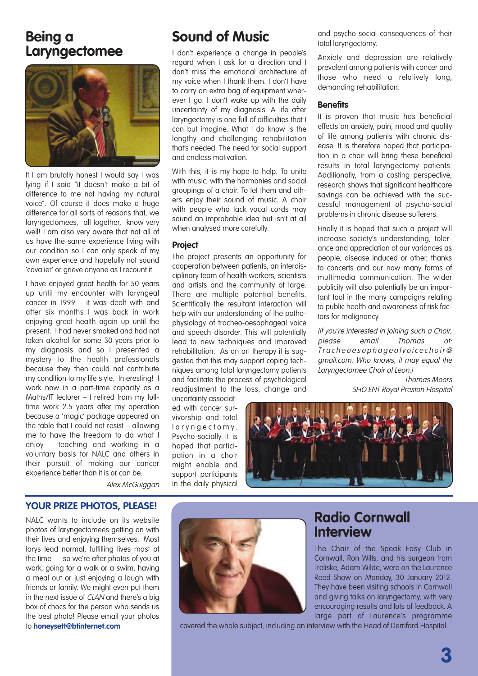## **Being a Laryngectomee**



If I am brutally honest I would say I was lying if I said "it doesn't make a bit of difference to me not having my natural voice". Of course it does make a huge difference for all sorts of reasons that, we laryngectomees, all together, know very well! I am also very aware that not all of us have the same experience living with our condition so I can only speak of my own experience and hopefully not sound 'cavalier' or grieve anyone as I recount it.

I have enjoyed great health for 50 years up until my encounter with laryngeal cancer in 1999 – it was dealt with and after six months I was back in work enjoying great health again up until the present. I had never smoked and had not taken alcohol for some 30 years prior to my diagnosis and so I presented a mystery to the health professionals because they then could not contribute my condition to my life style. Interesting! I work now in a part-time capacity as a Maths/IT lecturer – I retired from my fulltime work 2.5 years after my operation because a 'magic' package appeared on the table that I could not resist – allowing me to have the freedom to do what I enjoy – teaching and working in a voluntary basis for NALC and others in their pursuit of making our cancer experience better than it is or can be.

Alex McGuiggan

# **Sound of Music**

I don't experience a change in people's regard when I ask for a direction and I don't miss the emotional architecture of my voice when I thank them. I don't have to carry an extra bag of equipment wherever I go. I don't wake up with the daily uncertainty of my diagnosis. A life after laryngectomy is one full of difficulties that I can but imagine. What I do know is the lengthy and challenging rehabilitation that's needed. The need for social support and endless motivation.

With this, it is my hope to help. To unite with music, with the harmonies and social groupings of a choir. To let them and others enjoy their sound of music. A choir with people who lack vocal cords may sound an improbable idea but isn't at all when analysed more carefully.

#### **Project**

The project presents an opportunity for cooperation between patients, an interdisciplinary team of health workers, scientists and artists and the community at large. There are multiple potential benefits. Scientifically the resultant interaction will help with our understanding of the pathophysiology of tracheo-oesophageal voice and speech disorder. This will potentially lead to new techniques and improved rehabilitation. As an art therapy it is suggested that this may support coping techniques among total laryngectomy patients and facilitate the process of psychological readjustment to the loss, change and

uncertainty associated with cancer survivorship and total l a r y n g e c t o m y . Psycho-socially it is hoped that participation in a choir might enable and support participants in the daily physical



**Radio Cornwall**

The Chair of the Speak Easy Club in Cornwall, Ron Wills, and his surgeon from Treliske, Adam Wilde, were on the Laurence Reed Show on Monday, 30 January 2012. They have been visiting schools in Cornwall and giving talks on laryngectomy, with very encouraging results and lots of feedback. A

**Interview**

#### **YOUR PRIZE PHOTOS, PLEASE!**

NALC wants to include on its website photos of laryngectomees getting on with their lives and enjoying themselves. Most larys lead normal, fulfilling lives most of the time — so we're after photos of you at work, going for a walk or a swim, having a meal out or just enjoying a laugh with friends or family. We might even put them in the next issue of CLAN and there's a big box of chocs for the person who sends us the best photo! Please email your photos to **honeysett@btinternet.com**



large part of Laurence's programme covered the whole subject, including an interview with the Head of Derriford Hospital.

and psycho-social consequences of their total laryngectomy.

Anxiety and depression are relatively prevalent among patients with cancer and those who need a relatively long, demanding rehabilitation.

#### **Benefits**

It is proven that music has beneficial effects on anxiety, pain, mood and quality of life among patients with chronic disease. It is therefore hoped that participation in a choir will bring these beneficial results in total laryngectomy patients. Additionally, from a costing perspective, research shows that significant healthcare savings can be achieved with the successful management of psycho-social problems in chronic disease sufferers.

Finally it is hoped that such a project will increase society's understanding, tolerance and appreciation of our variances as people, disease induced or other, thanks to concerts and our now many forms of multimedia communication. The wider publicity will also potentially be an important tool in the many campaigns relating to public health and awareness of risk factors for malignancy.

(If you're interested in joining such <sup>a</sup> Choir, please email Thomas at: Tracheoesophagealvoicechoir@ gmail.com. Who knows, it may equal the Laryngectomee Choir of Leon.)

> Thomas Moors SHO ENT Royal Preston Hospital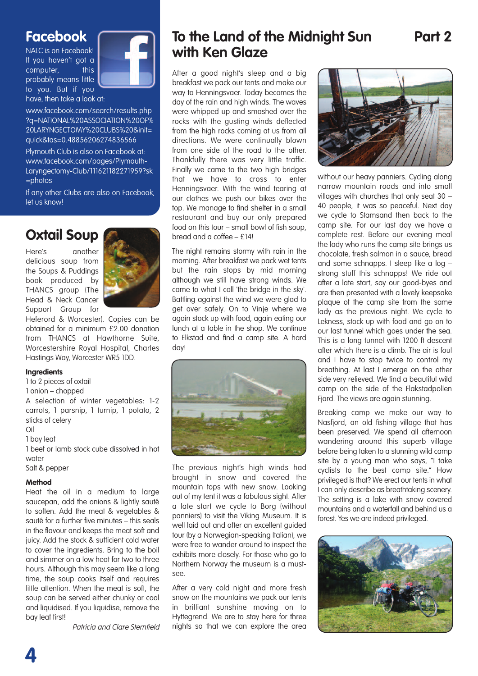## **Facebook**

NALC is on Facebook! If you haven't got a computer. this probably means little to you. But if you have, then take a look at:



www.facebook.com/search/results.php ?q=NATIONAL%20ASSOCIATION%20OF% 20LARYNGECTOMY%20CLUBS%20&init= quick&tas=0.48856206274836566

Plymouth Club is also on Facebook at: www.facebook.com/pages/Plymouth-Laryngectomy-Club/111621182271959?sk =photos

If any other Clubs are also on Facebook, let us know!

# **Oxtail Soup**

Here's another delicious soup from the Soups & Puddings book produced by THANCS group (The Head & Neck Cancer Support Group for



Heferord & Worcester). Copies can be obtained for a minimum £2.00 donation from THANCS at Hawthorne Suite, Worcestershire Royal Hospital, Charles Hastings Way, Worcester WR5 1DD.

#### **Ingredients**

1 to 2 pieces of oxtail

1 onion – chopped

A selection of winter vegetables: 1-2 carrots, 1 parsnip, 1 turnip, 1 potato, 2 sticks of celery

Oil

1 bay leaf

1 beef or lamb stock cube dissolved in hot water

Salt & pepper

#### **Method**

Heat the oil in a medium to large saucepan, add the onions & lightly sauté to soften. Add the meat & vegetables & sauté for a further five minutes – this seals in the flavour and keeps the meat soft and juicy. Add the stock & sufficient cold water to cover the ingredients. Bring to the boil and simmer on a low heat for two to three hours. Although this may seem like a long time, the soup cooks itself and requires little attention. When the meat is soft, the soup can be served either chunky or cool and liquidised. If you liquidise, remove the bay leaf first!

Patricia and Clare Sternfield

# **To the Land of the Midnight Sun Part 2 with Ken Glaze**

After a good night's sleep and a big breakfast we pack our tents and make our way to Henningsvaer. Today becomes the day of the rain and high winds. The waves were whipped up and smashed over the rocks with the gusting winds deflected from the high rocks coming at us from all directions. We were continually blown from one side of the road to the other. Thankfully there was very little traffic. Finally we came to the two high bridges that we have to cross to enter Henningsvaer. With the wind tearing at our clothes we push our bikes over the top. We manage to find shelter in a small restaurant and buy our only prepared food on this tour – small bowl of fish soup, bread and a coffee – £14!

The night remains stormy with rain in the morning. After breakfast we pack wet tents but the rain stops by mid morning although we still have strong winds. We came to what I call 'the bridge in the sky'. Battling against the wind we were glad to get over safely. On to Vinje where we again stock up with food, again eating our lunch at a table in the shop. We continue to Elkstad and find a camp site. A hard day!



The previous night's high winds had brought in snow and covered the mountain tops with new snow. Looking out of my tent it was a fabulous sight. After a late start we cycle to Borg (without panniers) to visit the Viking Museum. It is well laid out and after an excellent guided tour (by a Norwegian-speaking Italian), we were free to wander around to inspect the exhibits more closely. For those who go to Northern Norway the museum is a mustsee.

After a very cold night and more fresh snow on the mountains we pack our tents in brilliant sunshine moving on to Hyttegrend. We are to stay here for three nights so that we can explore the area



without our heavy panniers. Cycling along narrow mountain roads and into small villages with churches that only seat 30 – 40 people, it was so peaceful. Next day we cycle to Stamsand then back to the camp site. For our last day we have a complete rest. Before our evening meal the lady who runs the camp site brings us chocolate, fresh salmon in a sauce, bread and some schnapps. I sleep like a log – strong stuff this schnapps! We ride out after a late start, say our good-byes and are then presented with a lovely keepsake plaque of the camp site from the same lady as the previous night. We cycle to Lekness, stock up with food and go on to our last tunnel which goes under the sea. This is a long tunnel with 1200 ft descent after which there is a climb. The air is foul and I have to stop twice to control my breathing. At last I emerge on the other side very relieved. We find a beautiful wild camp on the side of the Flakstadpollen Fjord. The views are again stunning.

Breaking camp we make our way to Nasfjord, an old fishing village that has been preserved. We spend all afternoon wandering around this superb village before being taken to a stunning wild camp site by a young man who says, "I take cyclists to the best camp site." How privileged is that? We erect our tents in what I can only describe as breathtaking scenery. The setting is a lake with snow covered mountains and a waterfall and behind us a forest. Yes we are indeed privileged.

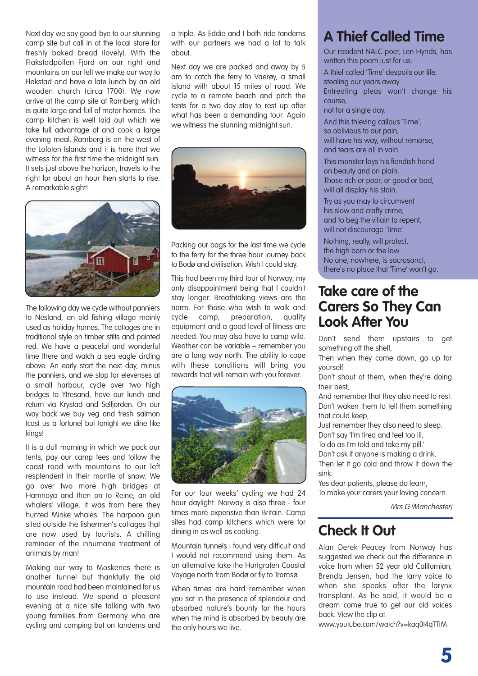Next day we say good-bye to our stunning camp site but call in at the local store for freshly baked bread (lovely). With the Flakstadpollen Fjord on our right and mountains on our left we make our way to Flakstad and have a late lunch by an old wooden church (circa 1700). We now arrive at the camp site at Ramberg which is quite large and full of motor homes. The camp kitchen is well laid out which we take full advantage of and cook a large evening meal. Ramberg is on the west of the Lofoten Islands and it is here that we witness for the first time the midnight sun. It sets just above the horizon, travels to the right for about an hour then starts to rise. A remarkable sight!



The following day we cycle without panniers to Nesland, an old fishing village mainly used as holiday homes. The cottages are in traditional style on timber stilts and painted red. We have a peaceful and wonderful time there and watch a sea eagle circling above. An early start the next day, minus the panniers, and we stop for elevenses at a small harbour, cycle over two high bridges to Ytresand, have our lunch and return via Krystad and Selfjorden. On our way back we buy veg and fresh salmon (cost us a fortune) but tonight we dine like kings!

It is a dull morning in which we pack our tents, pay our camp fees and follow the coast road with mountains to our left resplendent in their mantle of snow. We go over two more high bridges at Hamnoya and then on to Reine, an old whalers' village. It was from here they hunted Minke whales. The harpoon gun sited outside the fishermen's cottages that are now used by tourists. A chilling reminder of the inhumane treatment of animals by man!

Making our way to Moskenes there is another tunnel but thankfully the old mountain road had been maintained for us to use instead. We spend a pleasant evening at a nice site talking with two young families from Germany who are cycling and camping but on tandems and a triple. As Eddie and I both ride tandems with our partners we had a lot to talk about.

Next day we are packed and away by 5 am to catch the ferry to Vaerøy, a small island with about 15 miles of road. We cycle to a remote beach and pitch the tents for a two day stay to rest up after what has been a demanding tour. Again we witness the stunning midnight sun.



Packing our bags for the last time we cycle to the ferry for the three hour journey back to Bodø and civilisation. Wish I could stay.

This had been my third tour of Norway; my only disappointment being that I couldn't stay longer. Breathtaking views are the norm. For those who wish to walk and cycle camp, preparation, quality equipment and a good level of fitness are needed. You may also have to camp wild. Weather can be variable – remember you are a long way north. The ability to cope with these conditions will bring you rewards that will remain with you forever.



For our four weeks' cycling we had 24 hour daylight. Norway is also three - four times more expensive than Britain. Camp sites had camp kitchens which were for dining in as well as cooking.

Mountain tunnels I found very difficult and I would not recommend using them. As an alternative take the Hurtaraten Coastal Voyage north from Bodø or fly to Tromsø.

When times are hard remember when you sat in the presence of splendour and absorbed nature's bounty for the hours when the mind is absorbed by beauty are the only hours we live.

# **A Thief Called Time**

Our resident NALC poet, Len Hynds, has written this poem just for us:

A thief called 'Time' despoils our life, stealing our years away. Entreating pleas won't change his course,

not for a single day.

And this thieving callous 'Time', so oblivious to our pain, will have his way, without remorse, and tears are all in vain.

This monster lays his fiendish hand on beauty and on plain. Those rich or poor, or good or bad, will all display his stain.

Try as you may to circumvent his slow and crafty crime, and to beg the villain to repent, will not discourage 'Time'.

Nothing, really, will protect, the high born or the low. No one, nowhere, is sacrosanct, there's no place that 'Time' won't go.

## **Take care of the Carers So They Can Look After You**

Don't send them upstairs to get something off the shelf,

Then when they come down, go up for yourself.

Don't shout at them, when they're doing their best,

And remember that they also need to rest. Don't waken them to tell them something that could keep,

Just remember they also need to sleep. Don't say 'I'm tired and feel too ill,

To do as I'm told and take my pill.'

Don't ask if anyone is making a drink,

Then let it go cold and throw it down the sink.

Yes dear patients, please do learn, To make your carers your loving concern.

Mrs G (Manchester)

# **Check It Out**

Alan Derek Peacey from Norway has suggested we check out the difference in voice from when 52 year old Californian, Brenda Jensen, had the larry voice to when she speaks after the larynx transplant. As he said, it would be a dream come true to get our old voices back. View the clip at:

www.youtube.com/watch?v=kaq0I4qTTtM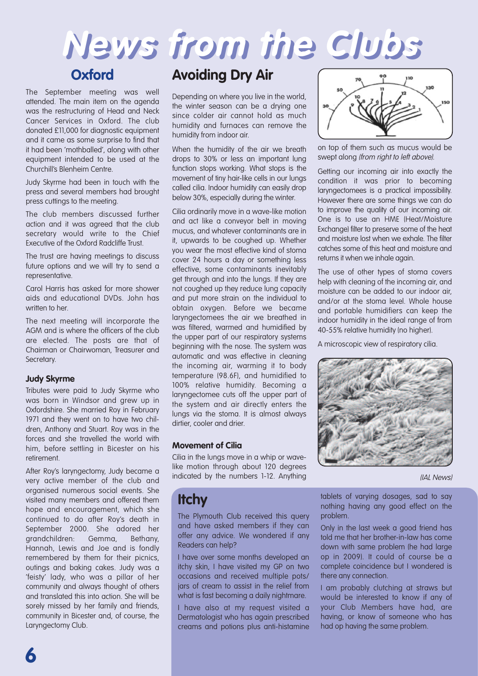# **News from the Clubs**

### **Oxford**

The September meeting was well attended. The main item on the agenda was the restructuring of Head and Neck Cancer Services in Oxford. The club donated £11,000 for diagnostic equipment and it came as some surprise to find that it had been 'mothballed', along with other equipment intended to be used at the Churchill's Blenheim Centre.

Judy Skyrme had been in touch with the press and several members had brought press cuttings to the meeting.

The club members discussed further action and it was agreed that the club secretary would write to the Chief Executive of the Oxford Radcliffe Trust.

The trust are having meetings to discuss future options and we will try to send a representative.

Carol Harris has asked for more shower aids and educational DVDs. John has written to her

The next meeting will incorporate the AGM and is where the officers of the club are elected. The posts are that of Chairman or Chairwoman, Treasurer and Secretary.

#### **Judy Skyrme**

Tributes were paid to Judy Skyrme who was born in Windsor and grew up in Oxfordshire. She married Roy in February 1971 and they went on to have two children, Anthony and Stuart. Roy was in the forces and she travelled the world with him, before settling in Bicester on his retirement.

After Roy's laryngectomy, Judy became a very active member of the club and organised numerous social events. She visited many members and offered them hope and encouragement, which she continued to do after Roy's death in September 2000. She adored her grandchildren: Gemma, Bethany, Hannah, Lewis and Joe and is fondly remembered by them for their picnics, outings and baking cakes. Judy was a 'feisty' lady, who was a pillar of her community and always thought of others and translated this into action. She will be sorely missed by her family and friends, community in Bicester and, of course, the Laryngectomy Club.

# **Avoiding Dry Air**

Depending on where you live in the world, the winter season can be a drying one since colder air cannot hold as much humidity and furnaces can remove the humidity from indoor air.

When the humidity of the air we breath drops to 30% or less an important lung function stops working. What stops is the movement of tiny hair-like cells in our lungs called cilia. Indoor humidity can easily drop below 30%, especially during the winter.

Cilia ordinarily move in a wave-like motion and act like a conveyor belt in moving mucus, and whatever contaminants are in it, upwards to be coughed up. Whether you wear the most effective kind of stoma cover 24 hours a day or something less effective, some contaminants inevitably get through and into the lungs. If they are not coughed up they reduce lung capacity and put more strain on the individual to obtain oxygen. Before we became laryngectomees the air we breathed in was filtered, warmed and humidified by the upper part of our respiratory systems beginning with the nose. The system was automatic and was effective in cleaning the incoming air, warming it to body temperature (98.6F), and humidified to 100% relative humidity. Becoming a laryngectomee cuts off the upper part of the system and air directly enters the lungs via the stoma. It is almost always dirtier, cooler and drier.

#### **Movement of Cilia**

Cilia in the lungs move in a whip or wavelike motion through about 120 degrees indicated by the numbers 1-12. Anything

# **Itchy**

The Plymouth Club received this query and have asked members if they can offer any advice. We wondered if any Readers can help?

I have over some months developed an itchy skin, I have visited my GP on two occasions and received multiple pots/ jars of cream to assist in the relief from what is fast becoming a daily nightmare.

I have also at my request visited a Dermatologist who has again prescribed creams and potions plus anti-histamine



on top of them such as mucus would be swept along (from right to left above).

Getting our incoming air into exactly the condition it was prior to becoming laryngectomees is a practical impossibility. However there are some things we can do to improve the quality of our incoming air. One is to use an HME (Heat/Moisture Exchange) filter to preserve some of the heat and moisture lost when we exhale. The filter catches some of this heat and moisture and returns it when we inhale again.

The use of other types of stoma covers help with cleaning of the incoming air, and moisture can be added to our indoor air, and/or at the stoma level. Whole house and portable humidifiers can keep the indoor humidity in the ideal range of from 40-55% relative humidity (no higher).

A microscopic view of respiratory cilia.



(IAL News)

tablets of varying dosages, sad to say nothing having any good effect on the problem.

Only in the last week a good friend has told me that her brother-in-law has come down with same problem (he had large op in 2009). It could of course be a complete coincidence but I wondered is there any connection.

I am probably clutching at straws but would be interested to know if any of your Club Members have had, are having, or know of someone who has had op having the same problem.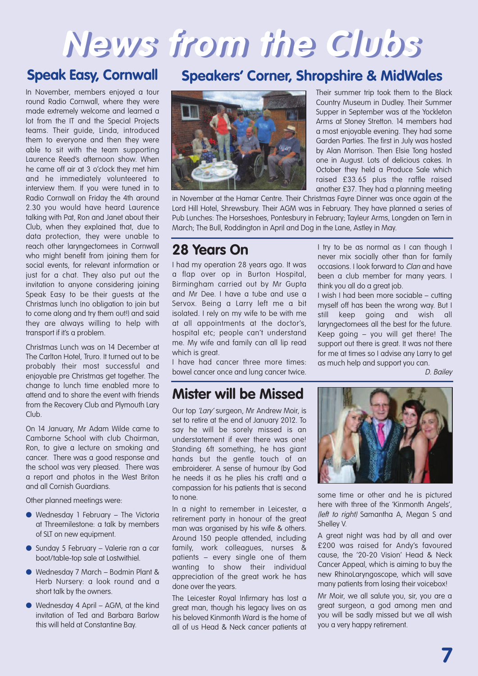# **News from the Clubs**

## **Speak Easy, Cornwall**

In November, members enjoyed a tour round Radio Cornwall, where they were made extremely welcome and learned a lot from the IT and the Special Projects teams. Their guide, Linda, introduced them to everyone and then they were able to sit with the team supporting Laurence Reed's afternoon show. When he came off air at 3 o'clock they met him and he immediately volunteered to interview them. If you were tuned in to Radio Cornwall on Friday the 4th around 2.30 you would have heard Laurence talking with Pat, Ron and Janet about their Club, when they explained that, due to data protection, they were unable to reach other laryngectomees in Cornwall who might benefit from joining them for social events, for relevant information or just for a chat. They also put out the invitation to anyone considering joining Speak Easy to be their guests at the Christmas lunch (no obligation to join but to come along and try them out!) and said they are always willing to help with transport if it's a problem.

Christmas Lunch was on 14 December at The Carlton Hotel, Truro. It turned out to be probably their most successful and enjoyable pre Christmas get together. The change to lunch time enabled more to attend and to share the event with friends from the Recovery Club and Plymouth Lary Club.

On 14 January, Mr Adam Wilde came to Camborne School with club Chairman, Ron, to give a lecture on smoking and cancer. There was a good response and the school was very pleased. There was a report and photos in the West Briton and all Cornish Guardians.

Other planned meetings were:

- **●** Wednesday 1 February The Victoria at Threemilestone: a talk by members of SLT on new equipment.
- Sunday 5 February Valerie ran a car boot/table-top sale at Lostwithiel.
- **●** Wednesday 7 March Bodmin Plant & Herb Nursery: a look round and a short talk by the owners.
- **●** Wednesday 4 April AGM, at the kind invitation of Ted and Barbara Barlow this will held at Constantine Bay.

## **Speakers' Corner, Shropshire & MidWales**



another £37. They had a planning meeting in November at the Hamar Centre. Their Christmas Fayre Dinner was once again at the Lord Hill Hotel, Shrewsbury. Their AGM was in February. They have planned a series of Pub Lunches: The Horseshoes, Pontesbury in February; Tayleur Arms, Longden on Tern in March; The Bull, Roddington in April and Dog in the Lane, Astley in May.

# **28 Years On**

I had my operation 28 years ago. It was a flap over op in Burton Hospital, Birmingham carried out by Mr Gupta and Mr Dee. I have a tube and use a Servox. Being a Larry left me a bit isolated. I rely on my wife to be with me at all appointments at the doctor's, hospital etc; people can't understand me. My wife and family can all lip read which is great.

I have had cancer three more times: bowel cancer once and lung cancer twice.

## **Mister will be Missed**

Our top 'Lary' surgeon, Mr Andrew Moir, is set to retire at the end of January 2012. To say he will be sorely missed is an understatement if ever there was one! Standing 6ft something, he has giant hands but the gentle touch of an embroiderer. A sense of humour (by God he needs it as he plies his craft) and a compassion for his patients that is second to none.

In a night to remember in Leicester, a retirement party in honour of the great man was organised by his wife & others. Around 150 people attended, including family, work colleagues, nurses & patients – every single one of them wanting to show their individual appreciation of the great work he has done over the years.

The Leicester Royal Infirmary has lost a great man, though his legacy lives on as his beloved Kinmonth Ward is the home of all of us Head & Neck cancer patients at

I try to be as normal as I can though I never mix socially other than for family occasions. I look forward to Clan and have been a club member for many years. I think you all do a great job.

Their summer trip took them to the Black Country Museum in Dudley. Their Summer Supper in September was at the Yockleton Arms at Stoney Stretton. 14 members had a most enjoyable evening. They had some Garden Parties. The first in July was hosted by Alan Morrison. Then Elsie Tong hosted one in August. Lots of delicious cakes. In October they held a Produce Sale which raised £33.65 plus the raffle raised

I wish I had been more sociable – cutting myself off has been the wrong way. But I still keep going and wish all laryngectomees all the best for the future. Keep going – you will get there! The support out there is great. It was not there for me at times so I advise any Larry to get as much help and support you can.

D. Bailey



some time or other and he is pictured here with three of the 'Kinmonth Angels', (left to right) Samantha A, Megan S and Shelley V.

A great night was had by all and over £200 was raised for Andy's favoured cause, the '20-20 Vision' Head & Neck Cancer Appeal, which is aiming to buy the new RhinoLaryngoscope, which will save many patients from losing their voicebox!

Mr Moir, we all salute you, sir, you are a great surgeon, a god among men and you will be sadly missed but we all wish you a very happy retirement.